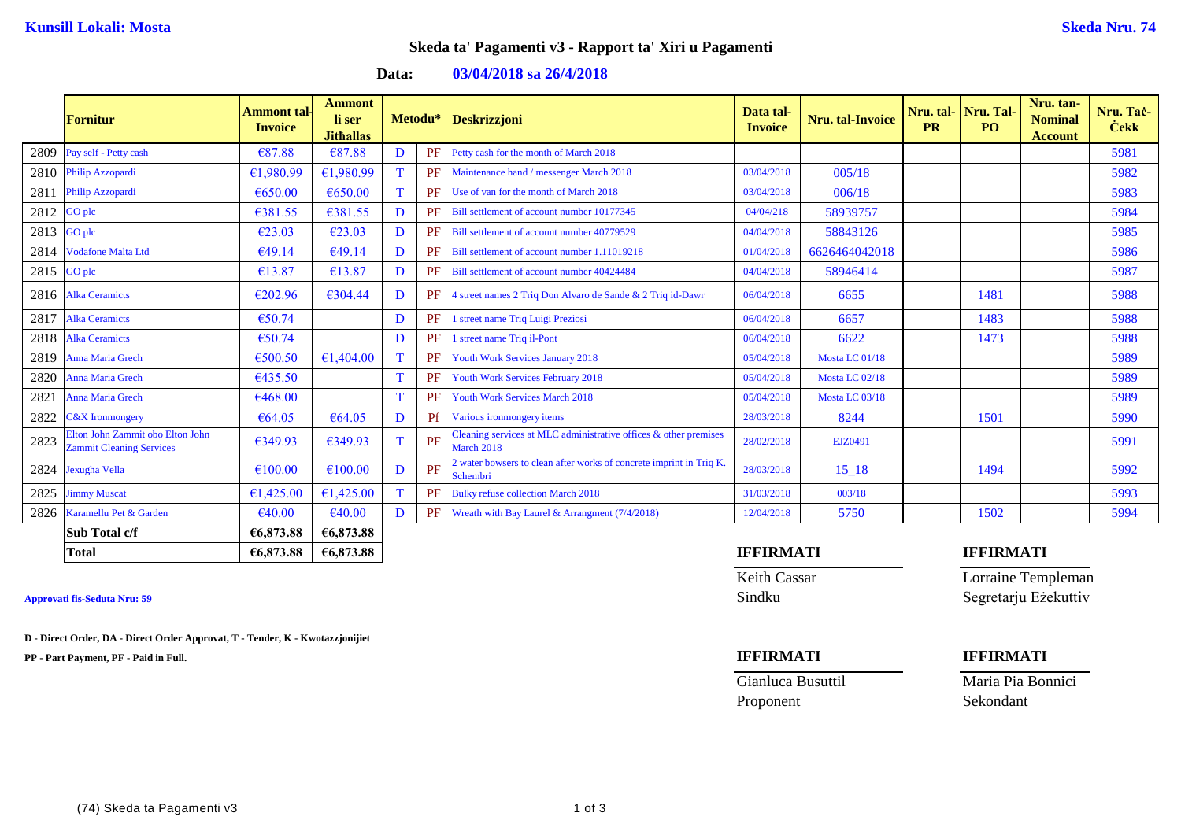## **Skeda ta' Pagamenti v3 - Rapport ta' Xiri u Pagamenti**

**Data: 03/04/2018 sa 26/4/2018**

|      | <b>Fornitur</b>                                                     | Ammont tal-<br><b>Invoice</b> | <b>Ammont</b><br>li ser<br><b>Jithallas</b> |             |           | Metodu* Deskrizzjoni                                                           | Data tal-<br><b>Invoice</b> | <b>Nru. tal-Invoice</b> | Nru. tal-<br><b>PR</b> | Nru. Tal-<br>PO. | Nru. tan-<br><b>Nominal</b><br><b>Account</b> | Nru. Tac-<br><b>Cekk</b> |
|------|---------------------------------------------------------------------|-------------------------------|---------------------------------------------|-------------|-----------|--------------------------------------------------------------------------------|-----------------------------|-------------------------|------------------------|------------------|-----------------------------------------------|--------------------------|
| 2809 | Pay self - Petty cash                                               | €87.88                        | €87.88                                      | D           | PF        | Petty cash for the month of March 2018                                         |                             |                         |                        |                  |                                               | 5981                     |
|      | 2810 Philip Azzopardi                                               | €1,980.99                     | €1,980.99                                   |             | <b>PF</b> | Maintenance hand / messenger March 2018                                        | 03/04/2018                  | 005/18                  |                        |                  |                                               | 5982                     |
| 2811 | Philip Azzopardi                                                    | €650.00                       | €650.00                                     | $\mathbf T$ | PF        | Use of van for the month of March 2018                                         | 03/04/2018                  | 006/18                  |                        |                  |                                               | 5983                     |
| 2812 | GO plc                                                              | €381.55                       | €381.55                                     | D           | PF        | Bill settlement of account number 10177345                                     | 04/04/218                   | 58939757                |                        |                  |                                               | 5984                     |
| 2813 | GO plc                                                              | €23.03                        | €23.03                                      | D           | <b>PF</b> | Bill settlement of account number 40779529                                     | 04/04/2018                  | 58843126                |                        |                  |                                               | 5985                     |
| 2814 | <b>Vodafone Malta Ltd</b>                                           | €49.14                        | €49.14                                      | D           | PF        | Bill settlement of account number 1.11019218                                   | 01/04/2018                  | 6626464042018           |                        |                  |                                               | 5986                     |
| 2815 | <b>GO</b> plc                                                       | €13.87                        | €13.87                                      | D           | PF        | Bill settlement of account number 40424484                                     | 04/04/2018                  | 58946414                |                        |                  |                                               | 5987                     |
|      | 2816 Alka Ceramicts                                                 | €202.96                       | €304.44                                     | D           | PF        | 4 street names 2 Triq Don Alvaro de Sande & 2 Triq id-Dawr                     | 06/04/2018                  | 6655                    |                        | 1481             |                                               | 5988                     |
| 2817 | <b>Alka Ceramicts</b>                                               | €50.74                        |                                             | D           | PF        | <b>street name Triq Luigi Preziosi</b>                                         | 06/04/2018                  | 6657                    |                        | 1483             |                                               | 5988                     |
| 2818 | <b>Alka Ceramicts</b>                                               | €50.74                        |                                             | D           | PF        | 1 street name Triq il-Pont                                                     | 06/04/2018                  | 6622                    |                        | 1473             |                                               | 5988                     |
| 2819 | <b>Anna Maria Grech</b>                                             | €500.50                       | €1,404.00                                   |             | PF        | <b>Youth Work Services January 2018</b>                                        | 05/04/2018                  | Mosta LC 01/18          |                        |                  |                                               | 5989                     |
| 2820 | Anna Maria Grech                                                    | €435.50                       |                                             | T           | PF        | Youth Work Services February 2018                                              | 05/04/2018                  | Mosta LC 02/18          |                        |                  |                                               | 5989                     |
| 2821 | Anna Maria Grech                                                    | €468.00                       |                                             |             | <b>PF</b> | <b>Youth Work Services March 2018</b>                                          | 05/04/2018                  | Mosta LC 03/18          |                        |                  |                                               | 5989                     |
| 2822 | <b>C&amp;X</b> Ironmongery                                          | €64.05                        | €64.05                                      | D           | Pf        | Various ironmongery items                                                      | 28/03/2018                  | 8244                    |                        | 1501             |                                               | 5990                     |
| 2823 | Elton John Zammit obo Elton John<br><b>Zammit Cleaning Services</b> | €349.93                       | €349.93                                     | $\mathbf T$ | PF        | Cleaning services at MLC administrative offices & other premises<br>March 2018 | 28/02/2018                  | EJZ0491                 |                        |                  |                                               | 5991                     |
| 2824 | Jexugha Vella                                                       | €100.00                       | €100.00                                     | D           | PF        | water bowsers to clean after works of concrete imprint in Triq K.<br>Schembri  | 28/03/2018                  | $15 - 18$               |                        | 1494             |                                               | 5992                     |
| 2825 | <b>Jimmy Muscat</b>                                                 | €1,425.00                     | €1,425.00                                   | T           | PF        | <b>Bulky refuse collection March 2018</b>                                      | 31/03/2018                  | 003/18                  |                        |                  |                                               | 5993                     |
| 2826 | Karamellu Pet & Garden                                              | €40.00                        | €40.00                                      | D           |           | PF Wreath with Bay Laurel & Arrangment (7/4/2018)                              | 12/04/2018                  | 5750                    |                        | 1502             |                                               | 5994                     |
|      | Sub Total c/f                                                       | €6,873.88                     | €6,873.88                                   |             |           |                                                                                |                             |                         |                        |                  |                                               |                          |
|      | <b>Total</b>                                                        | €6,873.88                     | €6,873.88                                   |             |           |                                                                                | <b>IFFIRMATI</b>            |                         |                        | <b>IFFIRMATI</b> |                                               |                          |

**D - Direct Order, DA - Direct Order Approvat, T - Tender, K - Kwotazzjonijiet**

**PP - Part Payment, PF - Paid in Full. IFFIRMATI IFFIRMATI**

Keith Cassar **Lorraine Templeman** Approvati fis-Seduta Nru: 59 Sindku Segretarju Eżekuttiv

Proponent Sekondant

Gianluca Busuttil Maria Pia Bonnici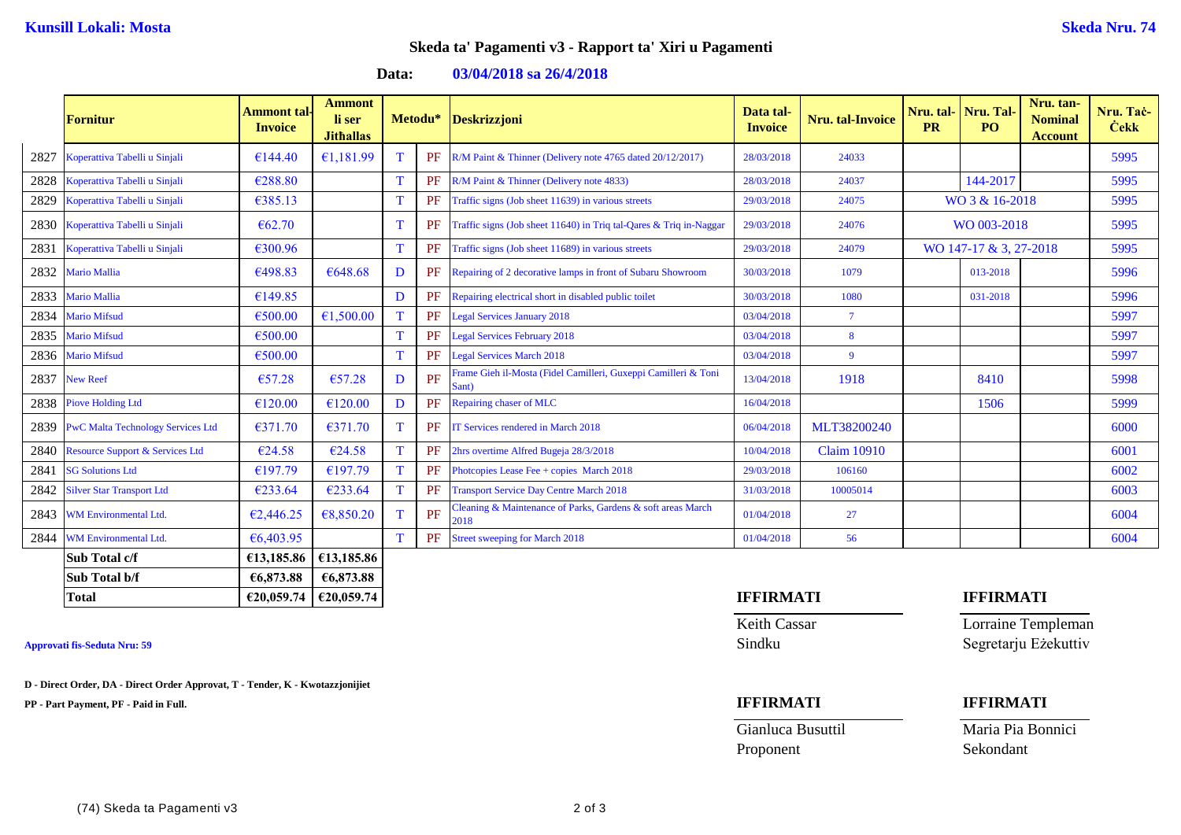## **Skeda ta' Pagamenti v3 - Rapport ta' Xiri u Pagamenti**

**Data: 03/04/2018 sa 26/4/2018**

|      | <b>Fornitur</b>                            | <b>Ammont</b> tal-<br><b>Invoice</b> | <b>Ammont</b><br>li ser<br><b>Jithallas</b> |             | Metodu*   | Deskrizzjoni                                                            | Data tal-<br><b>Invoice</b> | Nru. tal-Invoice   | Nru. tal- Nru. Tal-<br><b>PR</b> | PO <sub>1</sub> | Nru. tan-<br><b>Nominal</b><br><b>Account</b> | Nru. Tač-<br><b>Cekk</b> |
|------|--------------------------------------------|--------------------------------------|---------------------------------------------|-------------|-----------|-------------------------------------------------------------------------|-----------------------------|--------------------|----------------------------------|-----------------|-----------------------------------------------|--------------------------|
| 2827 | Koperattiva Tabelli u Sinjali              | €144.40                              | €1,181.99                                   |             |           | PF R/M Paint & Thinner (Delivery note 4765 dated 20/12/2017)            | 28/03/2018                  | 24033              |                                  |                 |                                               | 5995                     |
| 2828 | Koperattiva Tabelli u Sinjali              | €288.80                              |                                             | T           | PF        | R/M Paint & Thinner (Delivery note 4833)                                | 28/03/2018                  | 24037              |                                  | 144-2017        |                                               | 5995                     |
| 2829 | Koperattiva Tabelli u Sinjali              | €385.13                              |                                             |             | PF        | Traffic signs (Job sheet 11639) in various streets                      | 29/03/2018                  | 24075              | WO 3 & 16-2018                   |                 | 5995                                          |                          |
| 2830 | Koperattiva Tabelli u Sinjali              | € $62.70$                            |                                             | $\mathbf T$ | PF        | Traffic signs (Job sheet 11640) in Triq tal-Qares & Triq in-Naggar      | 29/03/2018                  | 24076              | WO 003-2018                      |                 |                                               | 5995                     |
| 2831 | Koperattiva Tabelli u Sinjali              | €300.96                              |                                             | T           | PF        | Traffic signs (Job sheet 11689) in various streets                      | 29/03/2018                  | 24079              | WO 147-17 & 3, 27-2018           |                 |                                               | 5995                     |
| 2832 | <b>Mario Mallia</b>                        | €498.83                              | €648.68                                     | D           | <b>PF</b> | Repairing of 2 decorative lamps in front of Subaru Showroom             | 30/03/2018                  | 1079               |                                  | 013-2018        |                                               | 5996                     |
| 2833 | <b>Mario Mallia</b>                        | €149.85                              |                                             | D           | PF        | Repairing electrical short in disabled public toilet                    | 30/03/2018                  | 1080               |                                  | 031-2018        |                                               | 5996                     |
| 2834 | <b>Mario Mifsud</b>                        | €500.00                              | €1,500.00                                   |             | PF        | <b>Legal Services January 2018</b>                                      | 03/04/2018                  | $\overline{7}$     |                                  |                 |                                               | 5997                     |
| 2835 | <b>Mario Mifsud</b>                        | €500.00                              |                                             | T           | PF        | <b>Legal Services February 2018</b>                                     | 03/04/2018                  | 8                  |                                  |                 |                                               | 5997                     |
| 2836 | <b>Mario Mifsud</b>                        | €500.00                              |                                             | $\mathbf T$ | PF        | <b>Legal Services March 2018</b>                                        | 03/04/2018                  | $\overline{9}$     |                                  |                 |                                               | 5997                     |
| 2837 | New Reef                                   | €57.28                               | €57.28                                      | D           | PF        | Frame Gieh il-Mosta (Fidel Camilleri, Guxeppi Camilleri & Toni<br>Sant) | 13/04/2018                  | 1918               |                                  | 8410            |                                               | 5998                     |
| 2838 | <b>Piove Holding Ltd</b>                   | €120.00                              | €120.00                                     | D           | PF        | Repairing chaser of MLC                                                 | 16/04/2018                  |                    |                                  | 1506            |                                               | 5999                     |
| 2839 | <b>PwC Malta Technology Services Ltd</b>   | €371.70                              | €371.70                                     | П           | PF        | IT Services rendered in March 2018                                      | 06/04/2018                  | MLT38200240        |                                  |                 |                                               | 6000                     |
| 2840 | <b>Resource Support &amp; Services Ltd</b> | €24.58                               | €24.58                                      |             | PF        | 2hrs overtime Alfred Bugeja 28/3/2018                                   | 10/04/2018                  | <b>Claim 10910</b> |                                  |                 |                                               | 6001                     |
| 2841 | <b>SG Solutions Ltd</b>                    | €197.79                              | €197.79                                     |             | PF        | Photcopies Lease Fee + copies March 2018                                | 29/03/2018                  | 106160             |                                  |                 |                                               | 6002                     |
| 2842 | <b>Silver Star Transport Ltd</b>           | €233.64                              | €233.64                                     |             | PF        | <b>Transport Service Day Centre March 2018</b>                          | 31/03/2018                  | 10005014           |                                  |                 |                                               | 6003                     |
| 2843 | <b>WM Environmental Ltd.</b>               | €2,446.25                            | €8,850.20                                   |             | PF        | Cleaning & Maintenance of Parks, Gardens & soft areas March<br>2018     | 01/04/2018                  | 27                 |                                  |                 |                                               | 6004                     |
| 2844 | WM Environmental Ltd.                      | €6,403.95                            |                                             | T           | PF        | <b>Street sweeping for March 2018</b>                                   | 01/04/2018                  | 56                 |                                  |                 |                                               | 6004                     |
|      | Sub Total c/f                              | €13,185.86                           | €13,185.86                                  |             |           |                                                                         |                             |                    |                                  |                 |                                               |                          |
|      | Sub Total b/f                              | €6,873.88                            | €6,873.88                                   |             |           |                                                                         |                             |                    |                                  |                 |                                               |                          |

**D - Direct Order, DA - Direct Order Approvat, T - Tender, K - Kwotazzjonijiet**

**PP - Part Payment, PF - Paid in Full. IFFIRMATI IFFIRMATI**

# **Total €20,059.74 €20,059.74 IFFIRMATI IFFIRMATI**

Proponent Sekondant

Keith Cassar **Lorraine Templeman** Approvati fis-Seduta Nru: 59 Sindku Segretarju Eżekuttiv

Gianluca Busuttil Maria Pia Bonnici